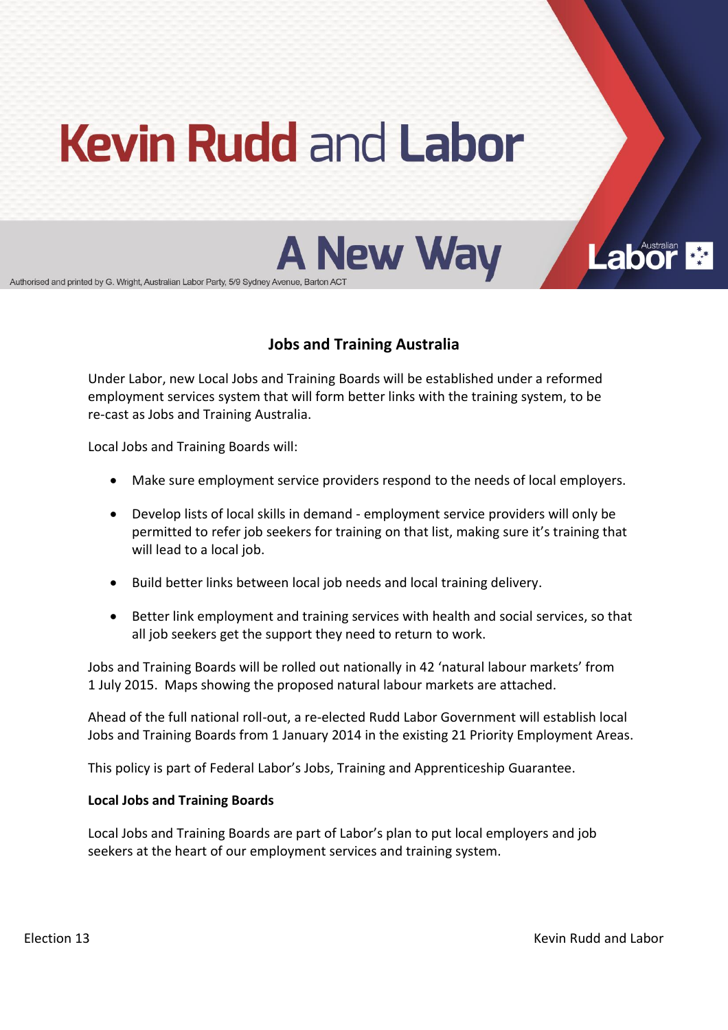# **Kevin Rudd and Labor**



Authorised and printed by G. Wright, Australian Labor Party, 5/9 Sydney Avenue, Barton AC'

## **Jobs and Training Australia**

Under Labor, new Local Jobs and Training Boards will be established under a reformed employment services system that will form better links with the training system, to be re-cast as Jobs and Training Australia.

Local Jobs and Training Boards will:

- Make sure employment service providers respond to the needs of local employers.
- Develop lists of local skills in demand employment service providers will only be permitted to refer job seekers for training on that list, making sure it's training that will lead to a local job.
- Build better links between local job needs and local training delivery.
- **•** Better link employment and training services with health and social services, so that all job seekers get the support they need to return to work.

Jobs and Training Boards will be rolled out nationally in 42 'natural labour markets' from 1 July 2015. Maps showing the proposed natural labour markets are attached.

Ahead of the full national roll-out, a re-elected Rudd Labor Government will establish local Jobs and Training Boards from 1 January 2014 in the existing 21 Priority Employment Areas.

This policy is part of Federal Labor's Jobs, Training and Apprenticeship Guarantee.

#### **Local!Jobs!and!Training Boards**

Local Jobs and Training Boards are part of Labor's plan to put local employers and job seekers at the heart of our employment services and training system.

**Labor**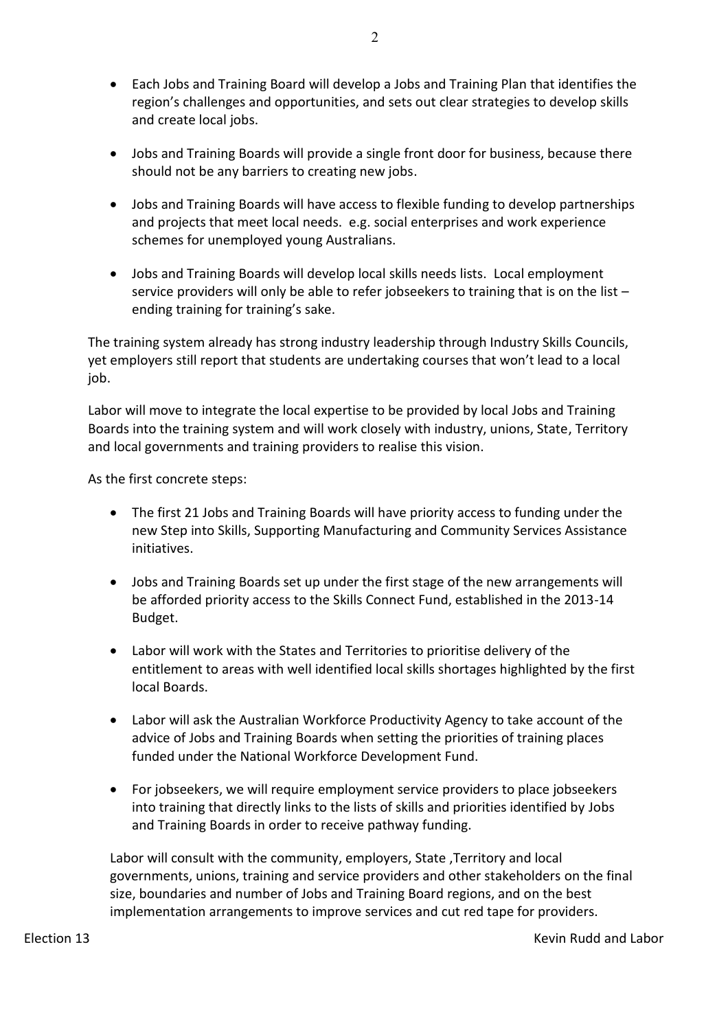- Each Jobs and Training Board will develop a Jobs and Training Plan that identifies the region's challenges and opportunities, and sets out clear strategies to develop skills and create local jobs.
- Jobs and Training Boards will provide a single front door for business, because there should not be any barriers to creating new jobs.
- Jobs and Training Boards will have access to flexible funding to develop partnerships and projects that meet local needs. e.g. social enterprises and work experience schemes for unemployed young Australians.
- Jobs and Training Boards will develop local skills needs lists. Local employment service providers will only be able to refer jobseekers to training that is on the list  $$ ending training for training's sake.

The training system already has strong industry leadership through Industry Skills Councils, yet employers still report that students are undertaking courses that won't lead to a local job.

Labor will move to integrate the local expertise to be provided by local Jobs and Training Boards into the training system and will work closely with industry, unions, State, Territory and local governments and training providers to realise this vision.

As the first concrete steps:

- The first 21 Jobs and Training Boards will have priority access to funding under the new Step into Skills, Supporting Manufacturing and Community Services Assistance initiatives.
- Jobs and Training Boards set up under the first stage of the new arrangements will be afforded priority access to the Skills Connect Fund, established in the 2013-14 Budget.
- Labor will work with the States and Territories to prioritise delivery of the entitlement to areas with well identified local skills shortages highlighted by the first local Boards.
- Labor will ask the Australian Workforce Productivity Agency to take account of the advice of Jobs and Training Boards when setting the priorities of training places funded under the National Workforce Development Fund.
- For jobseekers, we will require employment service providers to place jobseekers into training that directly links to the lists of skills and priorities identified by Jobs and Training Boards in order to receive pathway funding.

Labor will consult with the community, employers, State, Territory and local governments, unions, training and service providers and other stakeholders on the final size, boundaries and number of Jobs and Training Board regions, and on the best implementation arrangements to improve services and cut red tape for providers.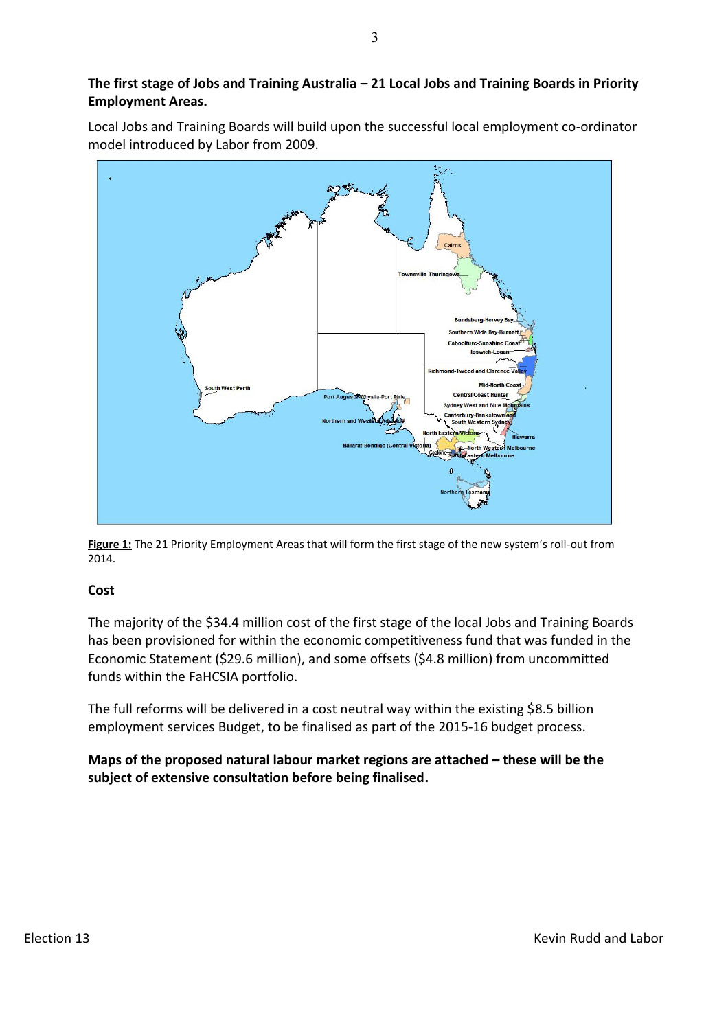#### The first stage of Jobs and Training Australia - 21 Local Jobs and Training Boards in Priority **Employment Areas.**

Local Jobs and Training Boards will build upon the successful local employment co-ordinator model introduced by Labor from 2009.



Figure 1: The 21 Priority Employment Areas that will form the first stage of the new system's roll-out from 2014.

#### **Cost**

The majority of the \$34.4 million cost of the first stage of the local Jobs and Training Boards has been provisioned for within the economic competitiveness fund that was funded in the Economic Statement (\$29.6 million), and some offsets (\$4.8 million) from uncommitted funds within the FaHCSIA portfolio.

The full reforms will be delivered in a cost neutral way within the existing \$8.5 billion employment services Budget, to be finalised as part of the 2015-16 budget process.

**Maps of the proposed natural labour market regions are attached – these will be the** subject of extensive consultation before being finalised.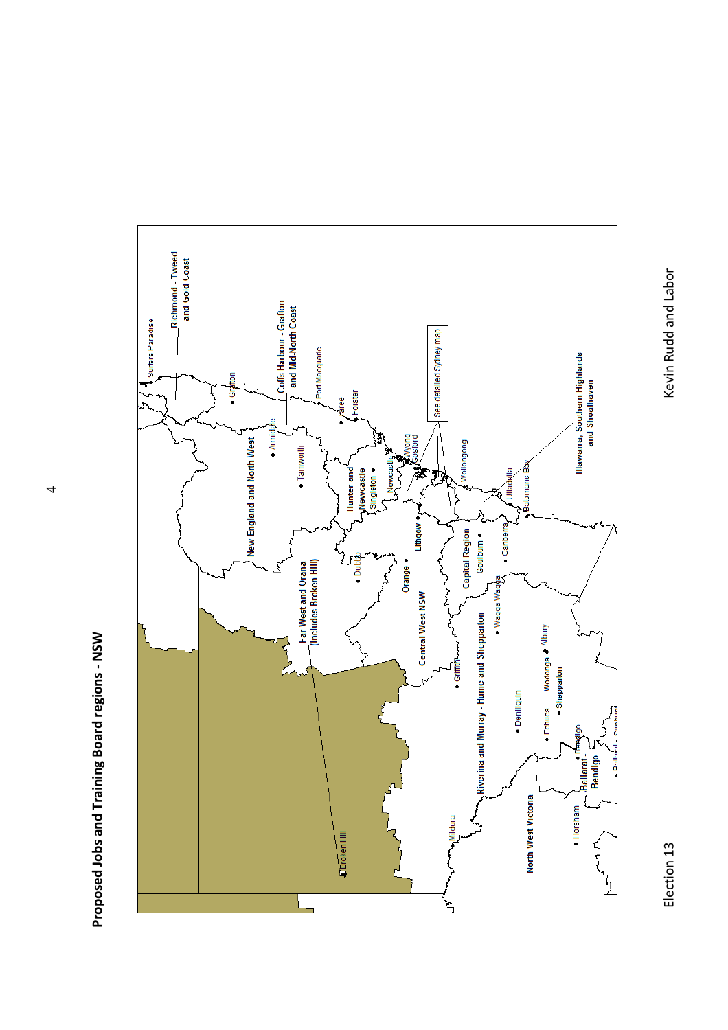



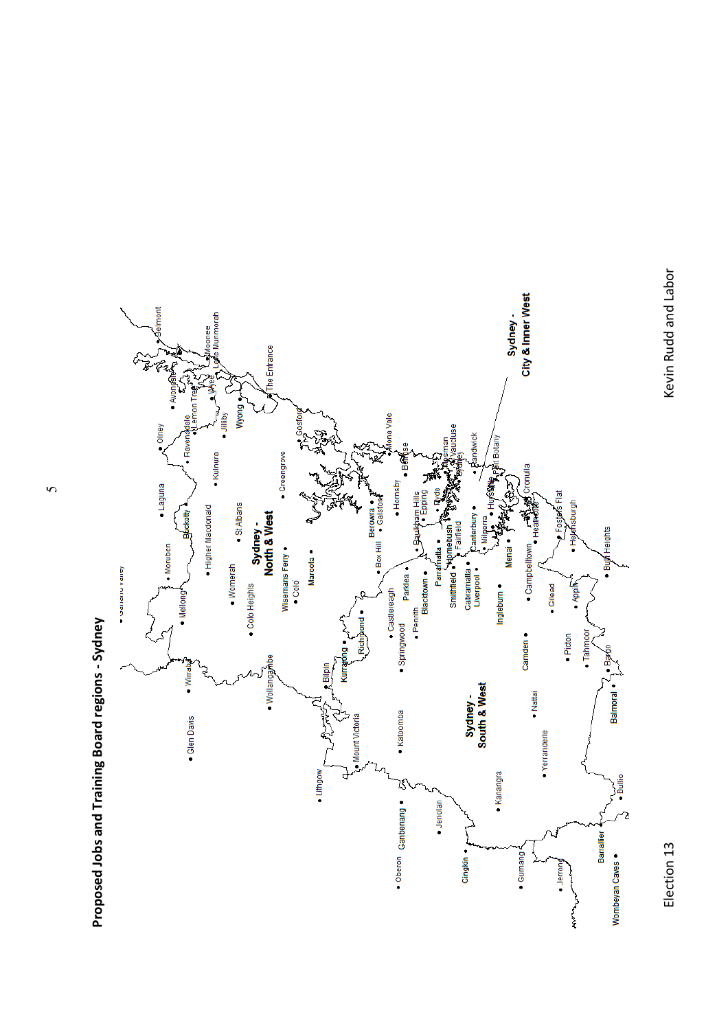



Proposed Jobs and Training Board regions - Sydney **Proposed!Jobs!and!Training!Board!regions H Sydney**

 $\sim$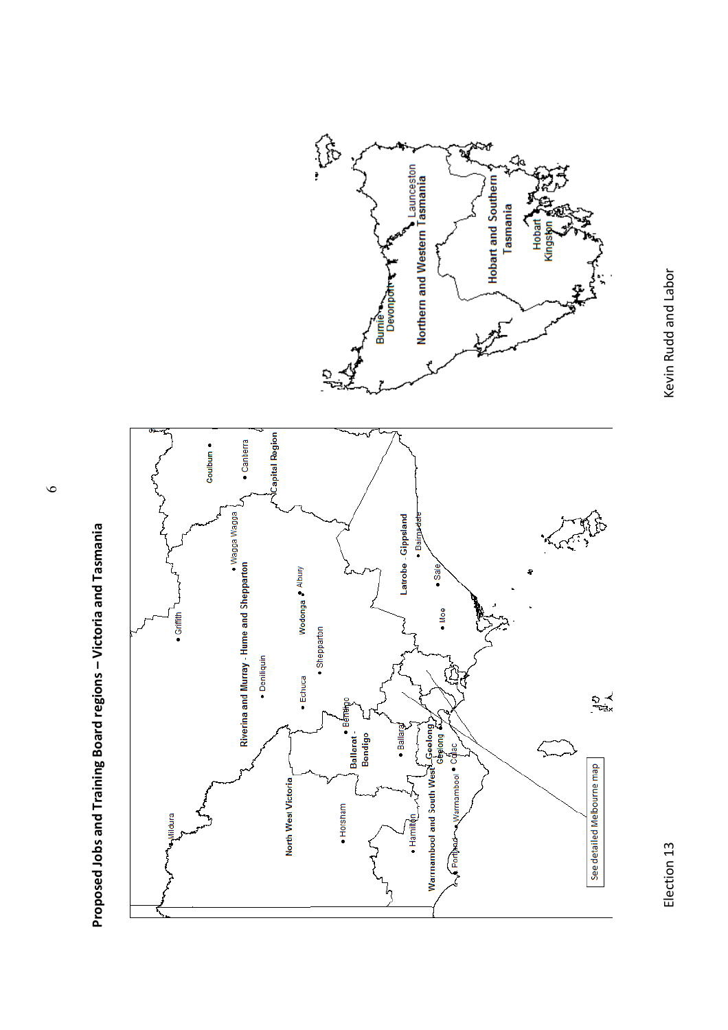

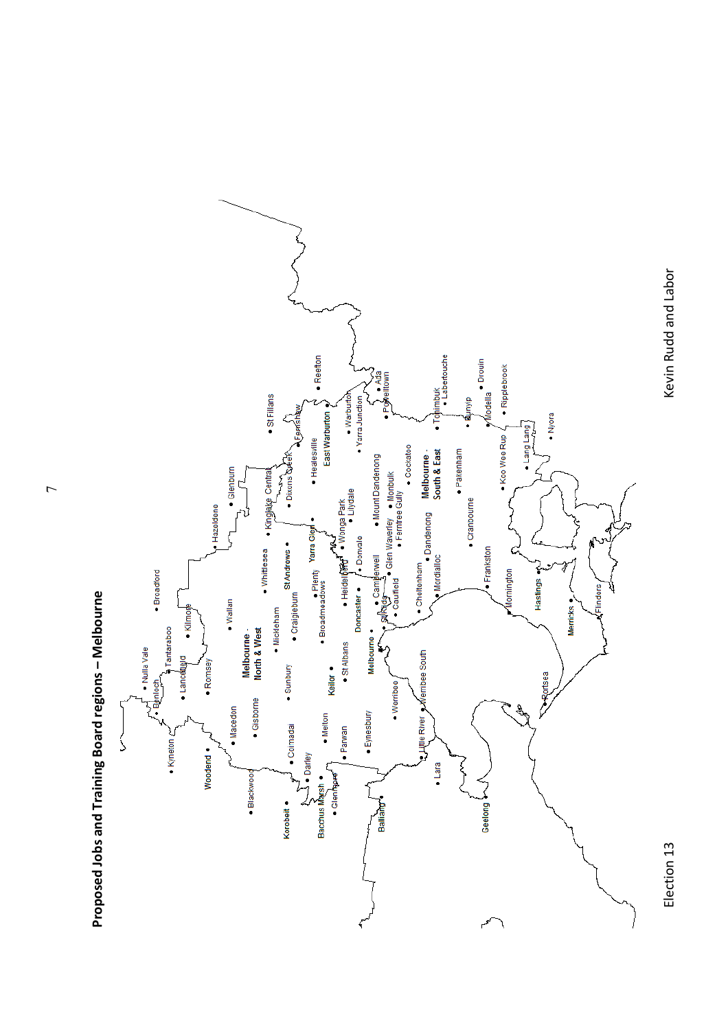

Proposed Jobs and Training Board regions - Melbourne **Proposed!Jobs!and!Training!Board!regions!ʹ Melbourne**

 $\overline{7}$ 

Election 13

Kevin Rudd and Labor Election 13) Kevin Rudd and Labor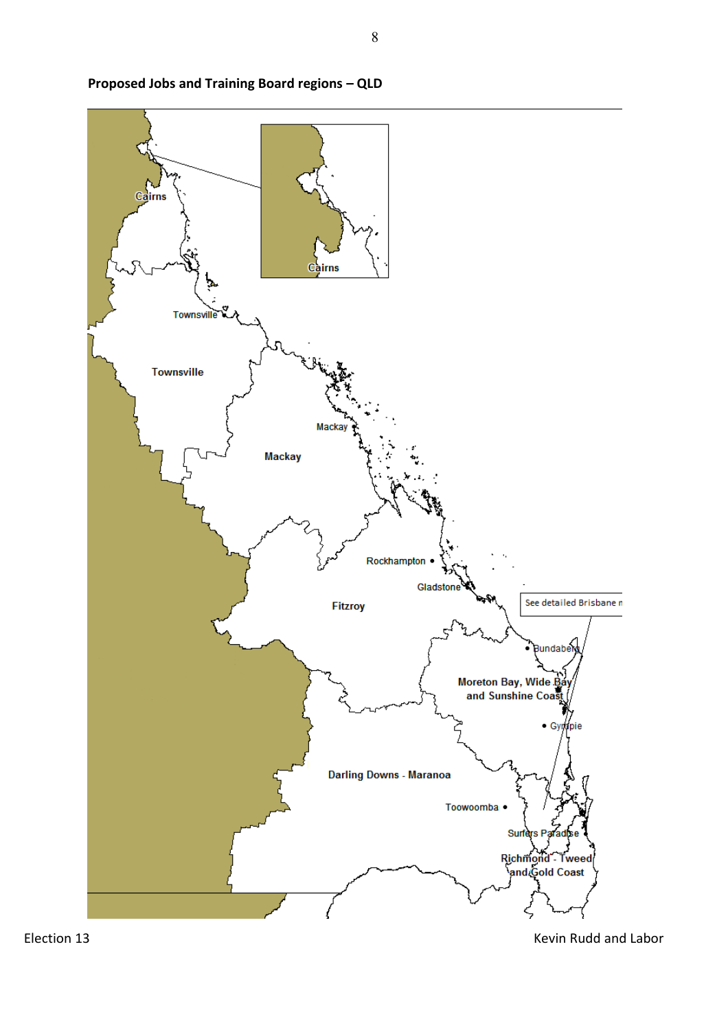



Election 13 Kevin Rudd and Labor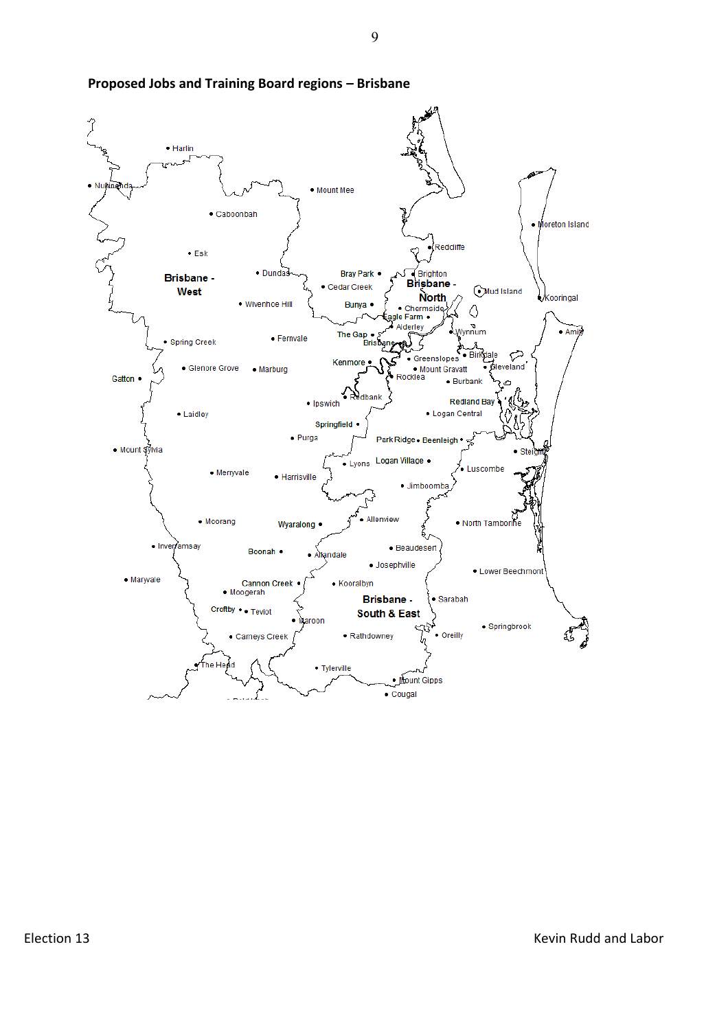

#### **Proposed Jobs and Training Board regions - Brisbane**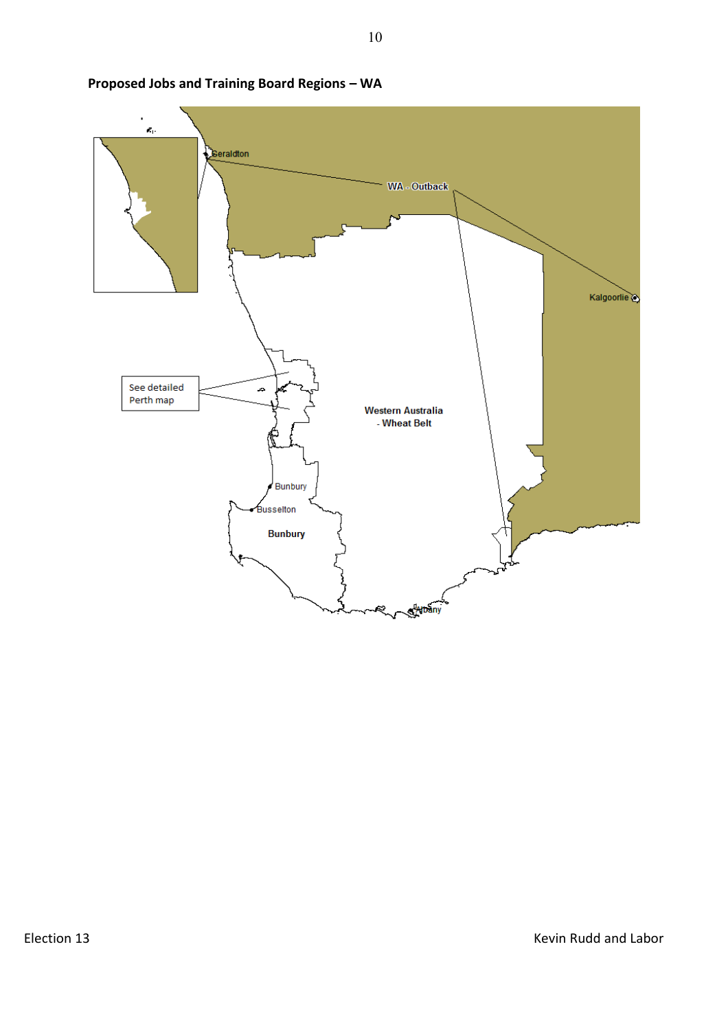

**Proposed!Jobs!and!Training!Board!Regions!ʹ WA**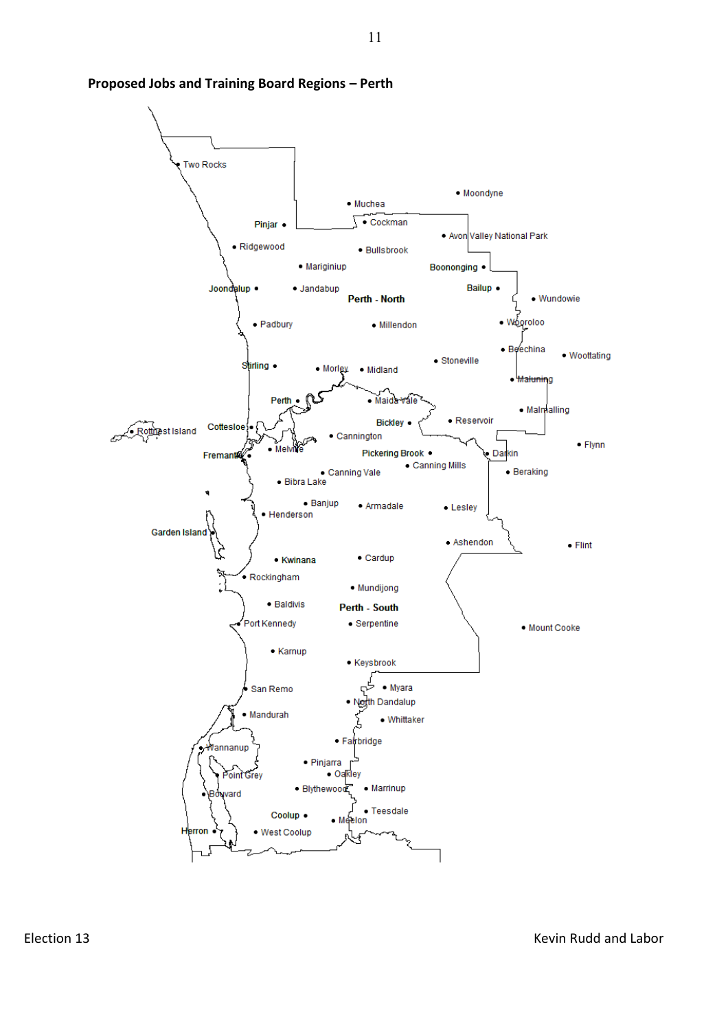

#### **Proposed Jobs and Training Board Regions - Perth**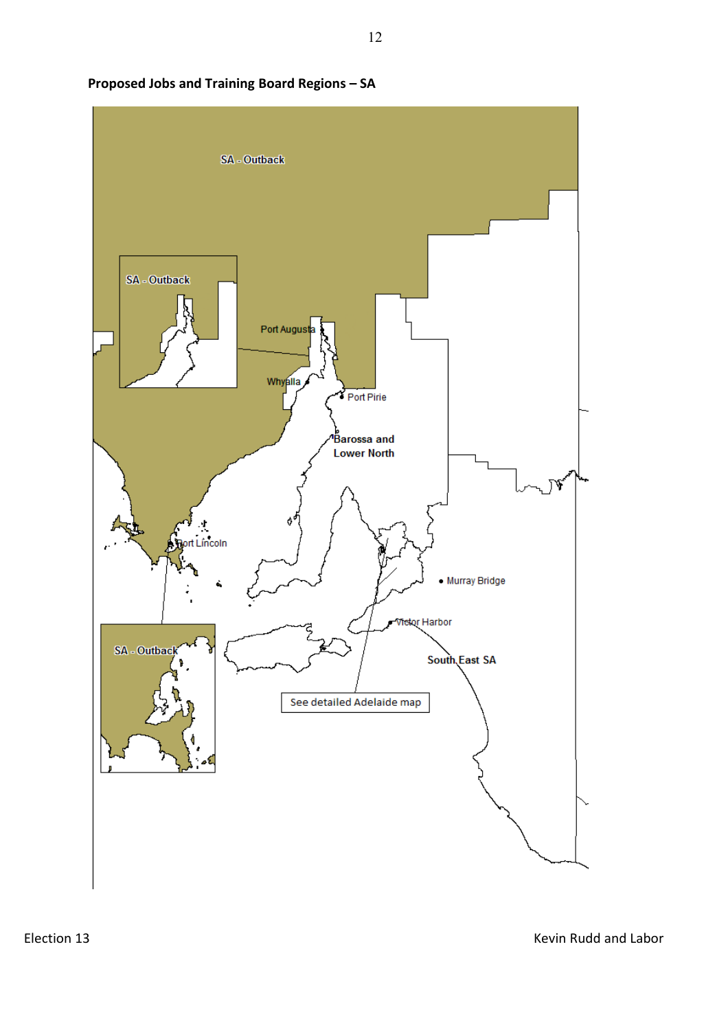

# **Proposed!Jobs!and!Training!Board!Regions!ʹ SA**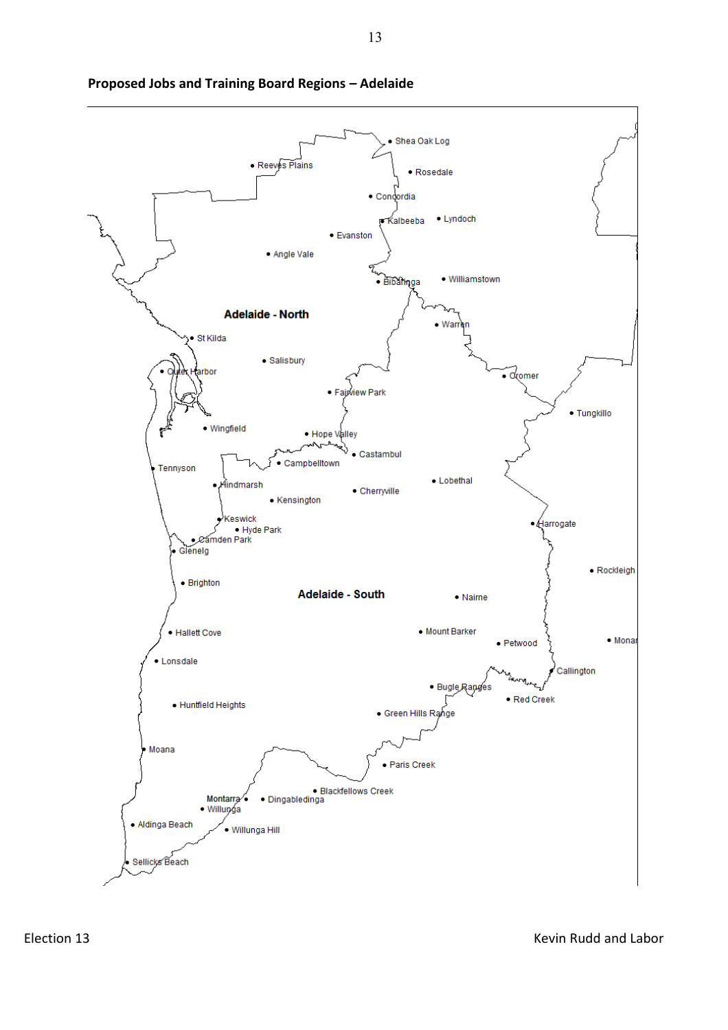